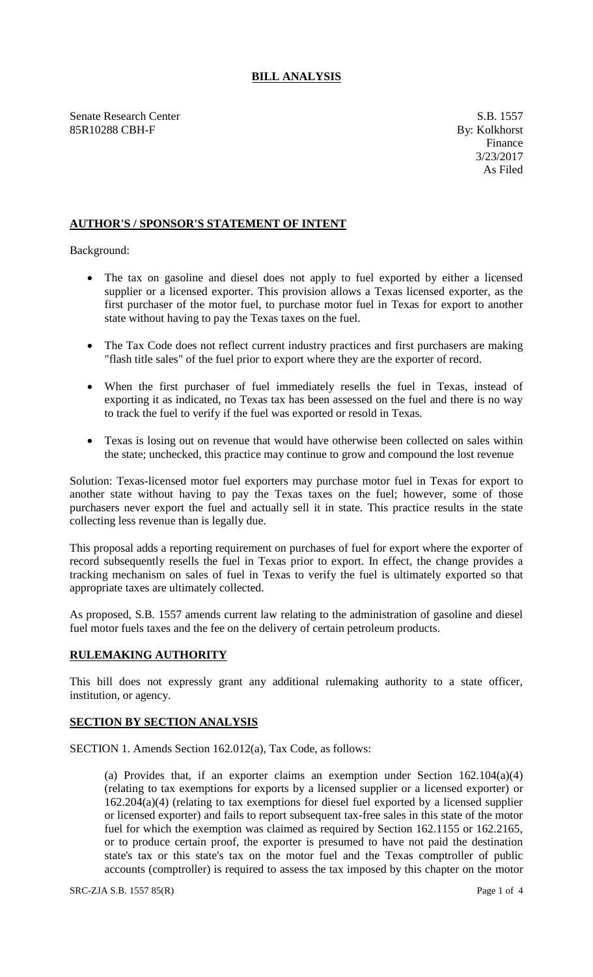## **BILL ANALYSIS**

Senate Research Center S.B. 1557 85R10288 CBH-F By: Kolkhorst

## **AUTHOR'S / SPONSOR'S STATEMENT OF INTENT**

Background:

- The tax on gasoline and diesel does not apply to fuel exported by either a licensed supplier or a licensed exporter. This provision allows a Texas licensed exporter, as the first purchaser of the motor fuel, to purchase motor fuel in Texas for export to another state without having to pay the Texas taxes on the fuel.
- The Tax Code does not reflect current industry practices and first purchasers are making "flash title sales" of the fuel prior to export where they are the exporter of record.
- When the first purchaser of fuel immediately resells the fuel in Texas, instead of exporting it as indicated, no Texas tax has been assessed on the fuel and there is no way to track the fuel to verify if the fuel was exported or resold in Texas.
- Texas is losing out on revenue that would have otherwise been collected on sales within the state; unchecked, this practice may continue to grow and compound the lost revenue

Solution: Texas-licensed motor fuel exporters may purchase motor fuel in Texas for export to another state without having to pay the Texas taxes on the fuel; however, some of those purchasers never export the fuel and actually sell it in state. This practice results in the state collecting less revenue than is legally due.

This proposal adds a reporting requirement on purchases of fuel for export where the exporter of record subsequently resells the fuel in Texas prior to export. In effect, the change provides a tracking mechanism on sales of fuel in Texas to verify the fuel is ultimately exported so that appropriate taxes are ultimately collected.

As proposed, S.B. 1557 amends current law relating to the administration of gasoline and diesel fuel motor fuels taxes and the fee on the delivery of certain petroleum products.

## **RULEMAKING AUTHORITY**

This bill does not expressly grant any additional rulemaking authority to a state officer, institution, or agency.

## **SECTION BY SECTION ANALYSIS**

SECTION 1. Amends Section 162.012(a), Tax Code, as follows:

(a) Provides that, if an exporter claims an exemption under Section 162.104(a)(4) (relating to tax exemptions for exports by a licensed supplier or a licensed exporter) or 162.204(a)(4) (relating to tax exemptions for diesel fuel exported by a licensed supplier or licensed exporter) and fails to report subsequent tax-free sales in this state of the motor fuel for which the exemption was claimed as required by Section 162.1155 or 162.2165, or to produce certain proof, the exporter is presumed to have not paid the destination state's tax or this state's tax on the motor fuel and the Texas comptroller of public accounts (comptroller) is required to assess the tax imposed by this chapter on the motor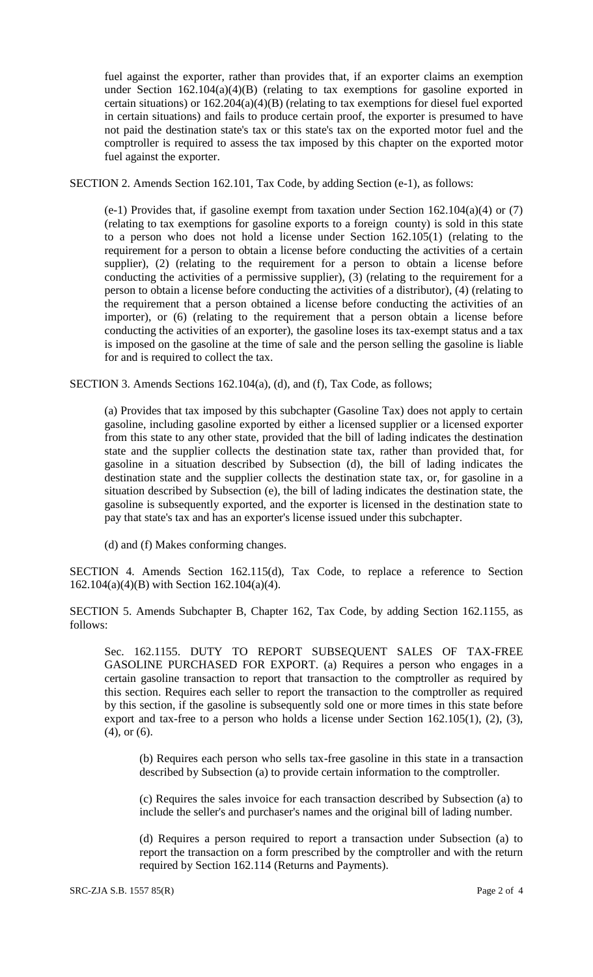fuel against the exporter, rather than provides that, if an exporter claims an exemption under Section  $162.104(a)(4)(B)$  (relating to tax exemptions for gasoline exported in certain situations) or 162.204(a)(4)(B) (relating to tax exemptions for diesel fuel exported in certain situations) and fails to produce certain proof, the exporter is presumed to have not paid the destination state's tax or this state's tax on the exported motor fuel and the comptroller is required to assess the tax imposed by this chapter on the exported motor fuel against the exporter.

SECTION 2. Amends Section 162.101, Tax Code, by adding Section (e-1), as follows:

(e-1) Provides that, if gasoline exempt from taxation under Section 162.104(a)(4) or (7) (relating to tax exemptions for gasoline exports to a foreign county) is sold in this state to a person who does not hold a license under Section 162.105(1) (relating to the requirement for a person to obtain a license before conducting the activities of a certain supplier), (2) (relating to the requirement for a person to obtain a license before conducting the activities of a permissive supplier), (3) (relating to the requirement for a person to obtain a license before conducting the activities of a distributor), (4) (relating to the requirement that a person obtained a license before conducting the activities of an importer), or (6) (relating to the requirement that a person obtain a license before conducting the activities of an exporter), the gasoline loses its tax-exempt status and a tax is imposed on the gasoline at the time of sale and the person selling the gasoline is liable for and is required to collect the tax.

SECTION 3. Amends Sections 162.104(a), (d), and (f), Tax Code, as follows;

(a) Provides that tax imposed by this subchapter (Gasoline Tax) does not apply to certain gasoline, including gasoline exported by either a licensed supplier or a licensed exporter from this state to any other state, provided that the bill of lading indicates the destination state and the supplier collects the destination state tax, rather than provided that, for gasoline in a situation described by Subsection (d), the bill of lading indicates the destination state and the supplier collects the destination state tax, or, for gasoline in a situation described by Subsection (e), the bill of lading indicates the destination state, the gasoline is subsequently exported, and the exporter is licensed in the destination state to pay that state's tax and has an exporter's license issued under this subchapter.

(d) and (f) Makes conforming changes.

SECTION 4. Amends Section 162.115(d), Tax Code, to replace a reference to Section 162.104(a)(4)(B) with Section 162.104(a)(4).

SECTION 5. Amends Subchapter B, Chapter 162, Tax Code, by adding Section 162.1155, as follows:

Sec. 162.1155. DUTY TO REPORT SUBSEQUENT SALES OF TAX-FREE GASOLINE PURCHASED FOR EXPORT. (a) Requires a person who engages in a certain gasoline transaction to report that transaction to the comptroller as required by this section. Requires each seller to report the transaction to the comptroller as required by this section, if the gasoline is subsequently sold one or more times in this state before export and tax-free to a person who holds a license under Section 162.105(1), (2), (3), (4), or (6).

(b) Requires each person who sells tax-free gasoline in this state in a transaction described by Subsection (a) to provide certain information to the comptroller.

(c) Requires the sales invoice for each transaction described by Subsection (a) to include the seller's and purchaser's names and the original bill of lading number.

(d) Requires a person required to report a transaction under Subsection (a) to report the transaction on a form prescribed by the comptroller and with the return required by Section 162.114 (Returns and Payments).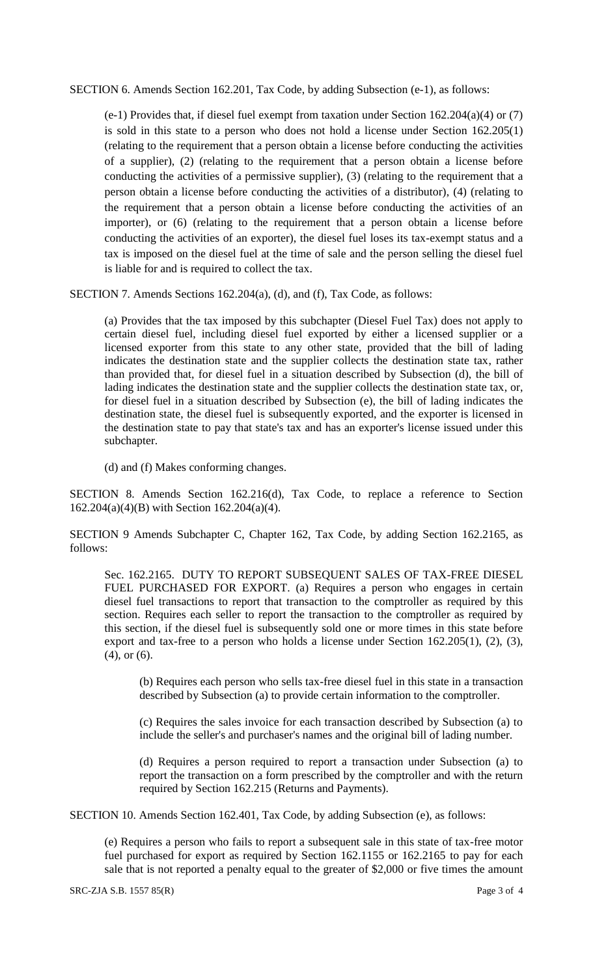SECTION 6. Amends Section 162.201, Tax Code, by adding Subsection (e-1), as follows:

(e-1) Provides that, if diesel fuel exempt from taxation under Section 162.204(a)(4) or (7) is sold in this state to a person who does not hold a license under Section 162.205(1) (relating to the requirement that a person obtain a license before conducting the activities of a supplier), (2) (relating to the requirement that a person obtain a license before conducting the activities of a permissive supplier), (3) (relating to the requirement that a person obtain a license before conducting the activities of a distributor), (4) (relating to the requirement that a person obtain a license before conducting the activities of an importer), or (6) (relating to the requirement that a person obtain a license before conducting the activities of an exporter), the diesel fuel loses its tax-exempt status and a tax is imposed on the diesel fuel at the time of sale and the person selling the diesel fuel is liable for and is required to collect the tax.

SECTION 7. Amends Sections 162.204(a), (d), and (f), Tax Code, as follows:

(a) Provides that the tax imposed by this subchapter (Diesel Fuel Tax) does not apply to certain diesel fuel, including diesel fuel exported by either a licensed supplier or a licensed exporter from this state to any other state, provided that the bill of lading indicates the destination state and the supplier collects the destination state tax, rather than provided that, for diesel fuel in a situation described by Subsection (d), the bill of lading indicates the destination state and the supplier collects the destination state tax, or, for diesel fuel in a situation described by Subsection (e), the bill of lading indicates the destination state, the diesel fuel is subsequently exported, and the exporter is licensed in the destination state to pay that state's tax and has an exporter's license issued under this subchapter.

(d) and (f) Makes conforming changes.

SECTION 8. Amends Section 162.216(d), Tax Code, to replace a reference to Section 162.204(a)(4)(B) with Section 162.204(a)(4).

SECTION 9 Amends Subchapter C, Chapter 162, Tax Code, by adding Section 162.2165, as follows:

Sec. 162.2165. DUTY TO REPORT SUBSEQUENT SALES OF TAX-FREE DIESEL FUEL PURCHASED FOR EXPORT. (a) Requires a person who engages in certain diesel fuel transactions to report that transaction to the comptroller as required by this section. Requires each seller to report the transaction to the comptroller as required by this section, if the diesel fuel is subsequently sold one or more times in this state before export and tax-free to a person who holds a license under Section 162.205(1), (2), (3), (4), or (6).

(b) Requires each person who sells tax-free diesel fuel in this state in a transaction described by Subsection (a) to provide certain information to the comptroller.

(c) Requires the sales invoice for each transaction described by Subsection (a) to include the seller's and purchaser's names and the original bill of lading number.

(d) Requires a person required to report a transaction under Subsection (a) to report the transaction on a form prescribed by the comptroller and with the return required by Section 162.215 (Returns and Payments).

SECTION 10. Amends Section 162.401, Tax Code, by adding Subsection (e), as follows:

(e) Requires a person who fails to report a subsequent sale in this state of tax-free motor fuel purchased for export as required by Section 162.1155 or 162.2165 to pay for each sale that is not reported a penalty equal to the greater of \$2,000 or five times the amount